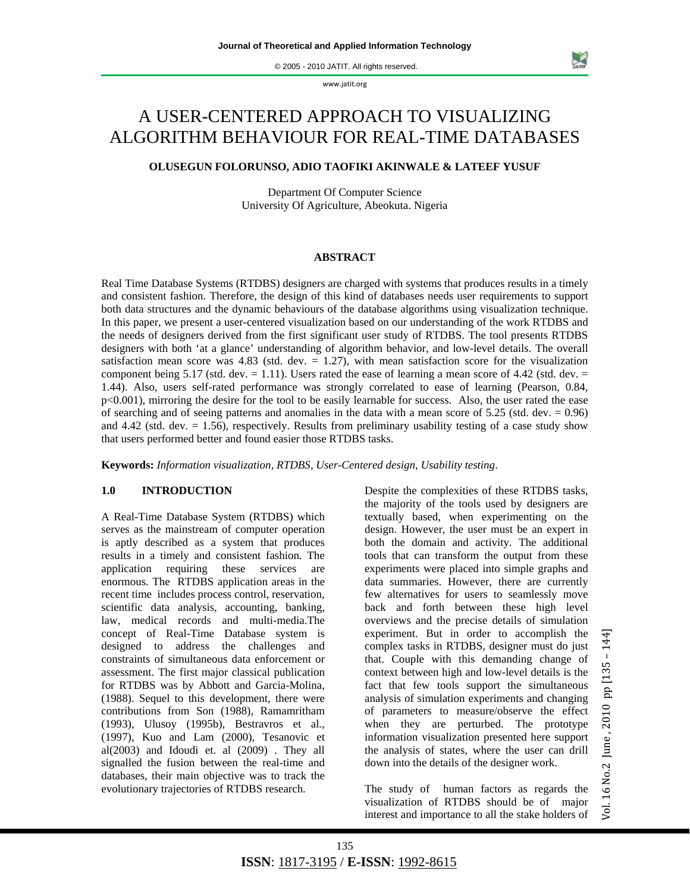© 2005 - 2010 JATIT. All rights reserved.

www.jatit.org

# A USER-CENTERED APPROACH TO VISUALIZING ALGORITHM BEHAVIOUR FOR REAL-TIME DATABASES

# **OLUSEGUN FOLORUNSO, ADIO TAOFIKI AKINWALE & LATEEF YUSUF**

Department Of Computer Science University Of Agriculture, Abeokuta. Nigeria

#### **ABSTRACT**

Real Time Database Systems (RTDBS) designers are charged with systems that produces results in a timely and consistent fashion. Therefore, the design of this kind of databases needs user requirements to support both data structures and the dynamic behaviours of the database algorithms using visualization technique. In this paper, we present a user-centered visualization based on our understanding of the work RTDBS and the needs of designers derived from the first significant user study of RTDBS. The tool presents RTDBS designers with both 'at a glance' understanding of algorithm behavior, and low-level details. The overall satisfaction mean score was 4.83 (std. dev.  $= 1.27$ ), with mean satisfaction score for the visualization component being 5.17 (std. dev.  $= 1.11$ ). Users rated the ease of learning a mean score of 4.42 (std. dev.  $=$ 1.44). Also, users self-rated performance was strongly correlated to ease of learning (Pearson, 0.84, p<0.001), mirroring the desire for the tool to be easily learnable for success. Also, the user rated the ease of searching and of seeing patterns and anomalies in the data with a mean score of  $5.25$  (std. dev.  $= 0.96$ ) and  $4.42$  (std. dev.  $= 1.56$ ), respectively. Results from preliminary usability testing of a case study show that users performed better and found easier those RTDBS tasks.

**Keywords:** *Information visualization, RTDBS, User-Centered design, Usability testing*.

# **1.0 INTRODUCTION**

A Real-Time Database System (RTDBS) which serves as the mainstream of computer operation is aptly described as a system that produces results in a timely and consistent fashion. The application requiring these services are enormous. The RTDBS application areas in the recent time includes process control, reservation, scientific data analysis, accounting, banking, law, medical records and multi-media.The concept of Real-Time Database system is designed to address the challenges and constraints of simultaneous data enforcement or assessment. The first major classical publication for RTDBS was by Abbott and Garcia-Molina, (1988). Sequel to this development, there were contributions from Son (1988), Ramamritham (1993), Ulusoy (1995b), Bestravros et al., (1997), Kuo and Lam (2000), Tesanovic et al(2003) and Idoudi et. al (2009) . They all signalled the fusion between the real-time and databases, their main objective was to track the evolutionary trajectories of RTDBS research.

Despite the complexities of these RTDBS tasks, the majority of the tools used by designers are textually based, when experimenting on the design. However, the user must be an expert in both the domain and activity. The additional tools that can transform the output from these experiments were placed into simple graphs and data summaries. However, there are currently few alternatives for users to seamlessly move back and forth between these high level overviews and the precise details of simulation experiment. But in order to accomplish the complex tasks in RTDBS, designer must do just that. Couple with this demanding change of context between high and low-level details is the fact that few tools support the simultaneous analysis of simulation experiments and changing of parameters to measure/observe the effect when they are perturbed. The prototype information visualization presented here support the analysis of states, where the user can drill down into the details of the designer work.

The study of human factors as regards the visualization of RTDBS should be of major interest and importance to all the stake holders of

یج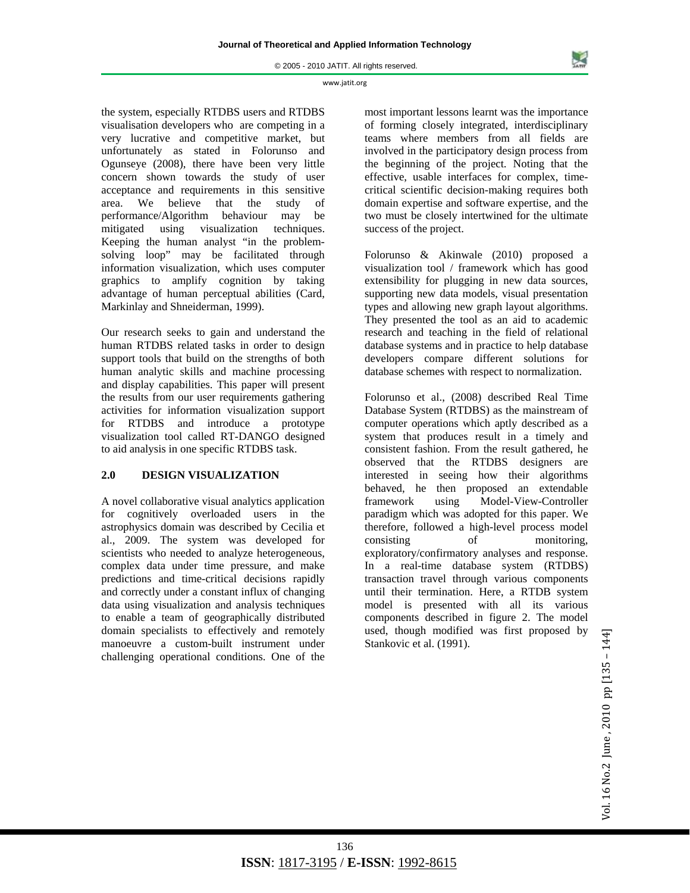the system, especially RTDBS users and RTDBS visualisation developers who are competing in a very lucrative and competitive market, but unfortunately as stated in Folorunso and Ogunseye (2008), there have been very little concern shown towards the study of user acceptance and requirements in this sensitive area. We believe that the study of performance/Algorithm behaviour may be mitigated using visualization techniques. Keeping the human analyst "in the problemsolving loop" may be facilitated through information visualization, which uses computer graphics to amplify cognition by taking advantage of human perceptual abilities (Card, Markinlay and Shneiderman, 1999).

Our research seeks to gain and understand the human RTDBS related tasks in order to design support tools that build on the strengths of both human analytic skills and machine processing and display capabilities. This paper will present the results from our user requirements gathering activities for information visualization support for RTDBS and introduce a prototype visualization tool called RT-DANGO designed to aid analysis in one specific RTDBS task.

# **2.0 DESIGN VISUALIZATION**

A novel collaborative visual analytics application for cognitively overloaded users in the astrophysics domain was described by Cecilia et al., 2009. The system was developed for scientists who needed to analyze heterogeneous, complex data under time pressure, and make predictions and time-critical decisions rapidly and correctly under a constant influx of changing data using visualization and analysis techniques to enable a team of geographically distributed domain specialists to effectively and remotely manoeuvre a custom-built instrument under challenging operational conditions. One of the

most important lessons learnt was the importance of forming closely integrated, interdisciplinary teams where members from all fields are involved in the participatory design process from the beginning of the project. Noting that the effective, usable interfaces for complex, timecritical scientific decision-making requires both domain expertise and software expertise, and the two must be closely intertwined for the ultimate success of the project.

Folorunso & Akinwale (2010) proposed a visualization tool / framework which has good extensibility for plugging in new data sources, supporting new data models, visual presentation types and allowing new graph layout algorithms. They presented the tool as an aid to academic research and teaching in the field of relational database systems and in practice to help database developers compare different solutions for database schemes with respect to normalization.

Folorunso et al., (2008) described Real Time Database System (RTDBS) as the mainstream of computer operations which aptly described as a system that produces result in a timely and consistent fashion. From the result gathered, he observed that the RTDBS designers are interested in seeing how their algorithms behaved, he then proposed an extendable framework using Model-View-Controller paradigm which was adopted for this paper. We therefore, followed a high-level process model consisting of monitoring, exploratory/confirmatory analyses and response. In a real-time database system (RTDBS) transaction travel through various components until their termination. Here, a RTDB system model is presented with all its various components described in figure 2. The model used, though modified was first proposed by Stankovic et al. (1991).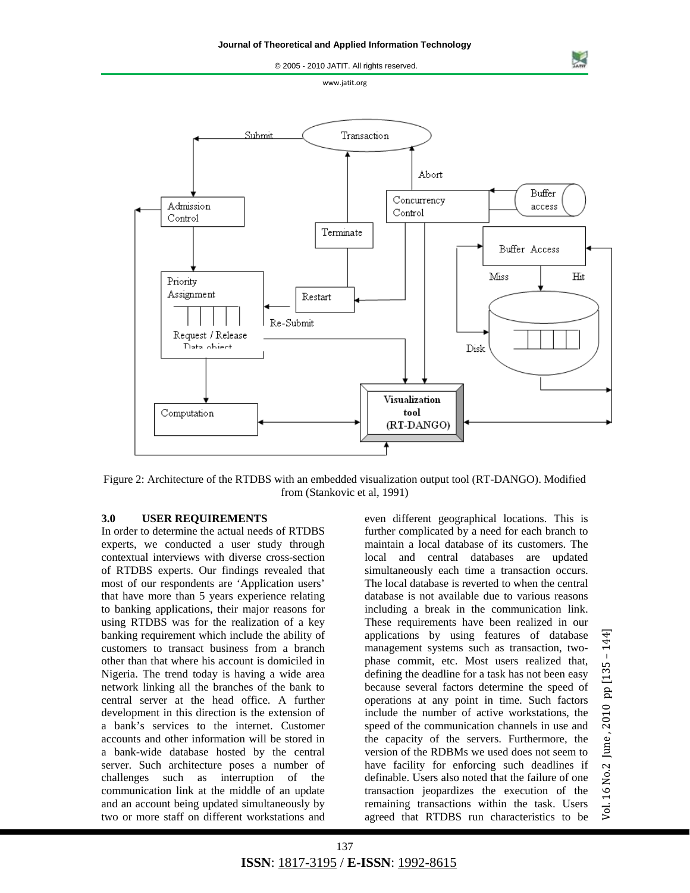© 2005 - 2010 JATIT. All rights reserved. www.jatit.org Submit Transaction Abort Buffer Concurrency Admission access Control Control Terminate Buffer Access Miss Hit Priority Assignment Restart Re-Submit Request / Release Data object Disk Visualization Computation tool (RT-DANGO)

Figure 2: Architecture of the RTDBS with an embedded visualization output tool (RT-DANGO). Modified from (Stankovic et al, 1991)

#### **3.0 USER REQUIREMENTS**

In order to determine the actual needs of RTDBS experts, we conducted a user study through contextual interviews with diverse cross-section of RTDBS experts. Our findings revealed that most of our respondents are 'Application users' that have more than 5 years experience relating to banking applications, their major reasons for using RTDBS was for the realization of a key banking requirement which include the ability of customers to transact business from a branch other than that where his account is domiciled in Nigeria. The trend today is having a wide area network linking all the branches of the bank to central server at the head office. A further development in this direction is the extension of a bank's services to the internet. Customer accounts and other information will be stored in a bank-wide database hosted by the central server. Such architecture poses a number of challenges such as interruption of the communication link at the middle of an update and an account being updated simultaneously by two or more staff on different workstations and even different geographical locations. This is further complicated by a need for each branch to maintain a local database of its customers. The local and central databases are updated simultaneously each time a transaction occurs. The local database is reverted to when the central database is not available due to various reasons including a break in the communication link. These requirements have been realized in our applications by using features of database management systems such as transaction, twophase commit, etc. Most users realized that, defining the deadline for a task has not been easy because several factors determine the speed of operations at any point in time. Such factors include the number of active workstations, the speed of the communication channels in use and the capacity of the servers. Furthermore, the version of the RDBMs we used does not seem to have facility for enforcing such deadlines if definable. Users also noted that the failure of one transaction jeopardizes the execution of the remaining transactions within the task. Users agreed that RTDBS run characteristics to be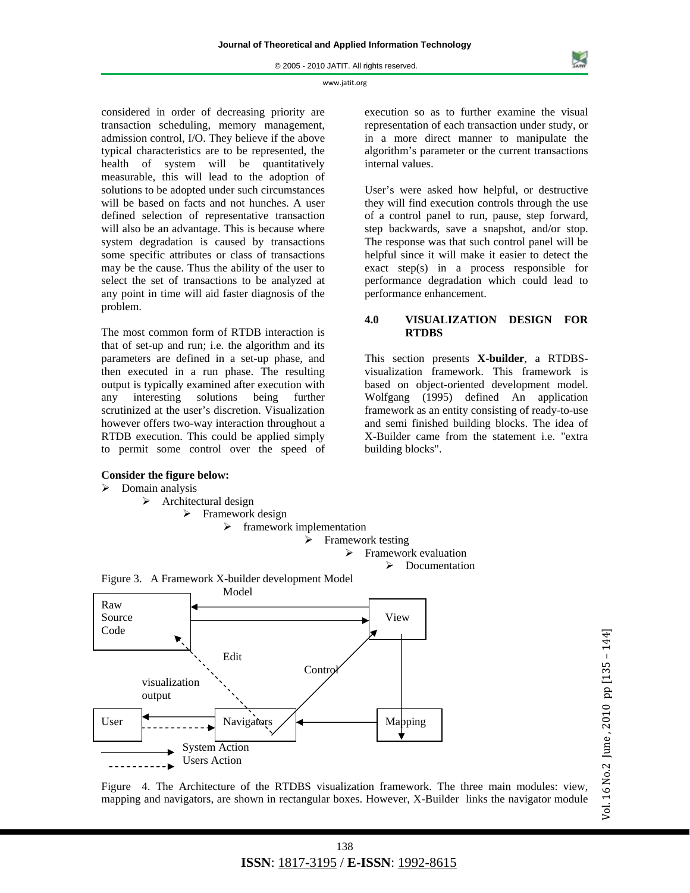considered in order of decreasing priority are transaction scheduling, memory management, admission control, I/O. They believe if the above typical characteristics are to be represented, the health of system will be quantitatively measurable, this will lead to the adoption of solutions to be adopted under such circumstances will be based on facts and not hunches. A user defined selection of representative transaction will also be an advantage. This is because where system degradation is caused by transactions some specific attributes or class of transactions may be the cause. Thus the ability of the user to select the set of transactions to be analyzed at any point in time will aid faster diagnosis of the problem.

The most common form of RTDB interaction is that of set-up and run; i.e. the algorithm and its parameters are defined in a set-up phase, and then executed in a run phase. The resulting output is typically examined after execution with any interesting solutions being further scrutinized at the user's discretion. Visualization however offers two-way interaction throughout a RTDB execution. This could be applied simply to permit some control over the speed of

#### **Consider the figure below:**

#### $\triangleright$  Domain analysis



User's were asked how helpful, or destructive they will find execution controls through the use of a control panel to run, pause, step forward, step backwards, save a snapshot, and/or stop. The response was that such control panel will be helpful since it will make it easier to detect the exact step(s) in a process responsible for performance degradation which could lead to performance enhancement.

# **4.0 VISUALIZATION DESIGN FOR RTDBS**

This section presents **X-builder**, a RTDBSvisualization framework. This framework is based on object-oriented development model. Wolfgang (1995) defined An application framework as an entity consisting of ready-to-use and semi finished building blocks. The idea of X-Builder came from the statement i.e. "extra building blocks".



Figure 4. The Architecture of the RTDBS visualization framework. The three main modules: view, mapping and navigators, are shown in rectangular boxes. However, X-Builder links the navigator module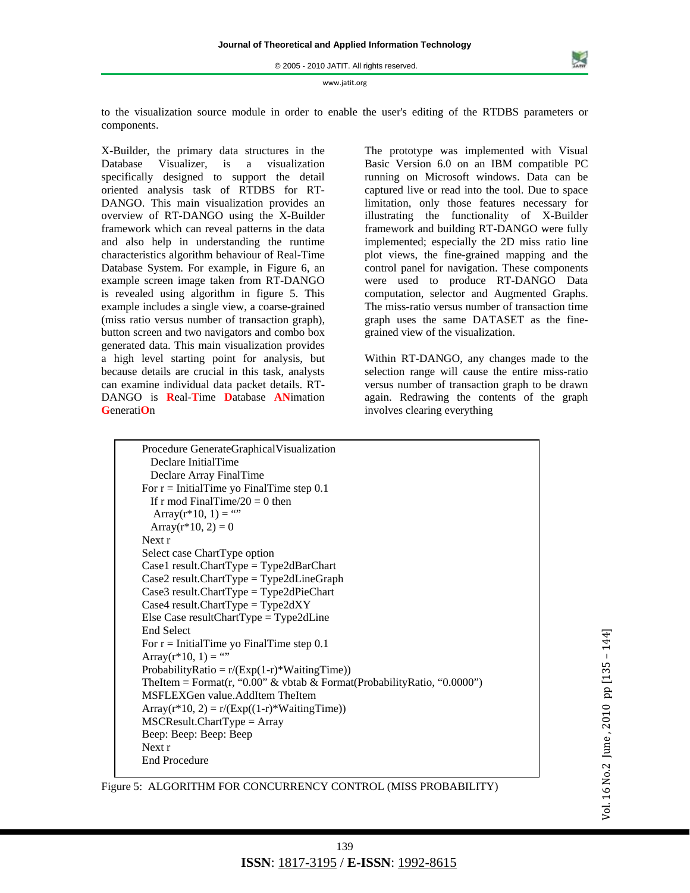to the visualization source module in order to enable the user's editing of the RTDBS parameters or components.

X-Builder, the primary data structures in the Database Visualizer, is a visualization specifically designed to support the detail oriented analysis task of RTDBS for RT-DANGO. This main visualization provides an overview of RT-DANGO using the X-Builder framework which can reveal patterns in the data and also help in understanding the runtime characteristics algorithm behaviour of Real-Time Database System. For example, in Figure 6, an example screen image taken from RT-DANGO is revealed using algorithm in figure 5. This example includes a single view, a coarse-grained (miss ratio versus number of transaction graph), button screen and two navigators and combo box generated data. This main visualization provides a high level starting point for analysis, but because details are crucial in this task, analysts can examine individual data packet details. RT-DANGO is **R**eal-**T**ime **D**atabase **AN**imation **G**enerati**O**n

The prototype was implemented with Visual Basic Version 6.0 on an IBM compatible PC running on Microsoft windows. Data can be captured live or read into the tool. Due to space limitation, only those features necessary for illustrating the functionality of X-Builder framework and building RT-DANGO were fully implemented; especially the 2D miss ratio line plot views, the fine-grained mapping and the control panel for navigation. These components were used to produce RT-DANGO Data computation, selector and Augmented Graphs. The miss-ratio versus number of transaction time graph uses the same DATASET as the finegrained view of the visualization.

Within RT-DANGO, any changes made to the selection range will cause the entire miss-ratio versus number of transaction graph to be drawn again. Redrawing the contents of the graph involves clearing everything

 Procedure GenerateGraphicalVisualization Declare InitialTime Declare Array FinalTime For  $r =$  InitialTime yo FinalTime step 0.1 If r mod FinalTime $/20 = 0$  then Array( $r*10$ , 1) = "" Array( $r*10, 2$ ) = 0 Next r Select case ChartType option Case1 result.ChartType = Type2dBarChart Case2 result.ChartType = Type2dLineGraph Case3 result.ChartType = Type2dPieChart  $\text{Case4}$  result. ChartType = Type2dXY Else Case resultChartType = Type2dLine End Select For  $r =$  InitialTime yo FinalTime step 0.1 Array( $r*10, 1$ ) = "" ProbabilityRatio =  $r/(Exp(1-r)*WaitingTime)$ ) TheItem = Format(r, "0.00" & vbtab & Format(ProbabilityRatio, "0.0000") MSFLEXGen value.AddItem TheItem Array( $r*10$ , 2) =  $r/(Exp((1-r)*WaitingTime))$ MSCResult.ChartType = Array Beep: Beep: Beep: Beep Next r End Procedure

Figure 5: ALGORITHM FOR CONCURRENCY CONTROL (MISS PROBABILITY)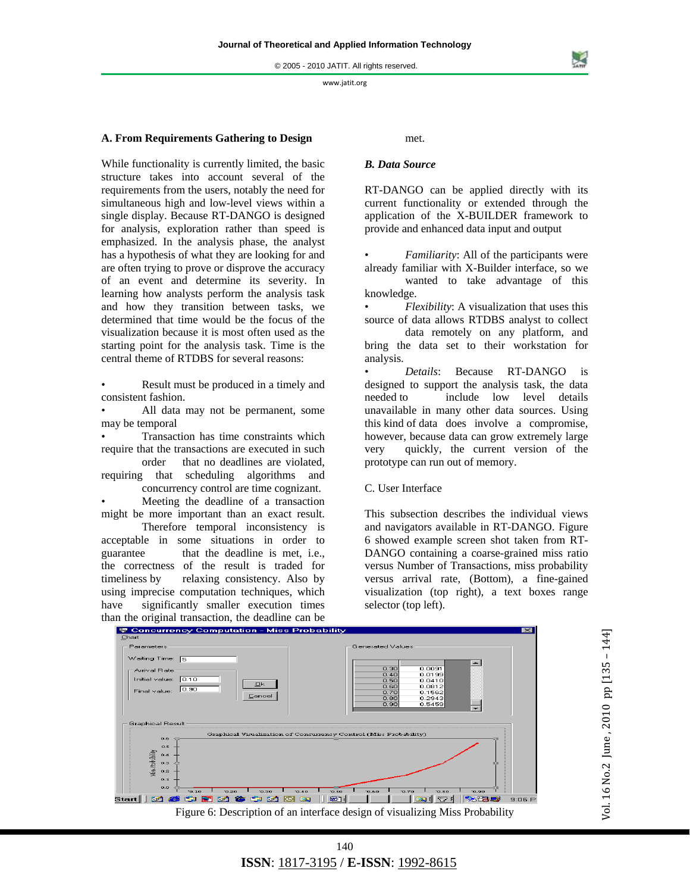## **A. From Requirements Gathering to Design**

While functionality is currently limited, the basic structure takes into account several of the requirements from the users, notably the need for simultaneous high and low-level views within a single display. Because RT-DANGO is designed for analysis, exploration rather than speed is emphasized. In the analysis phase, the analyst has a hypothesis of what they are looking for and are often trying to prove or disprove the accuracy of an event and determine its severity. In learning how analysts perform the analysis task and how they transition between tasks, we determined that time would be the focus of the visualization because it is most often used as the starting point for the analysis task. Time is the central theme of RTDBS for several reasons:

• Result must be produced in a timely and consistent fashion.

All data may not be permanent, some may be temporal

• Transaction has time constraints which require that the transactions are executed in such

 order that no deadlines are violated, requiring that scheduling algorithms and concurrency control are time cognizant.

Meeting the deadline of a transaction might be more important than an exact result.

 Therefore temporal inconsistency is acceptable in some situations in order to guarantee that the deadline is met, i.e., the correctness of the result is traded for timeliness by relaxing consistency. Also by using imprecise computation techniques, which have significantly smaller execution times

met.

## *B. Data Source*

RT-DANGO can be applied directly with its current functionality or extended through the application of the X-BUILDER framework to provide and enhanced data input and output

• *Familiarity*: All of the participants were already familiar with X-Builder interface, so we

 wanted to take advantage of this knowledge.

• *Flexibility*: A visualization that uses this source of data allows RTDBS analyst to collect

 data remotely on any platform, and bring the data set to their workstation for analysis.

• *Details*: Because RT-DANGO is designed to support the analysis task, the data needed to include low level details unavailable in many other data sources. Using this kind of data does involve a compromise, however, because data can grow extremely large very quickly, the current version of the prototype can run out of memory.

#### C. User Interface

This subsection describes the individual views and navigators available in RT-DANGO. Figure 6 showed example screen shot taken from RT-DANGO containing a coarse-grained miss ratio versus Number of Transactions, miss probability versus arrival rate, (Bottom), a fine-gained visualization (top right), a text boxes range selector (top left).

than the original transaction, the deadline can be<br>  $\overline{\mathbf{F}}$  Concurrency Computation - Miss Probability Parameters erated Value: Waiting Time:  $\sqrt{5}$  $\overline{\phantom{0}}$ .<br>Arrival Rate  $0.30$ <br>0.40<br>0.50<br>0.60<br>0.70<br>0.80  $0.0091$ 0.0199<br>0.0410 Initial value:  $\boxed{0.10}$ Ok Final value: 0.90  $0.0812$ 0.1562 Cancel 0.2943<br>0.5459 .<br>Graphical Result Graphical Visualization of Concurrency Control (Miss Probability)  $0.5$ Vius Prebability  $0.4$ 0.3 0.2  $0.1$ **\$50000000 101** <u>|Qigi|%%5</u> Start $\parallel$  2  $\odot$  $9:06 P$ 

# Figure 6: Description of an interface design of visualizing Miss Probability

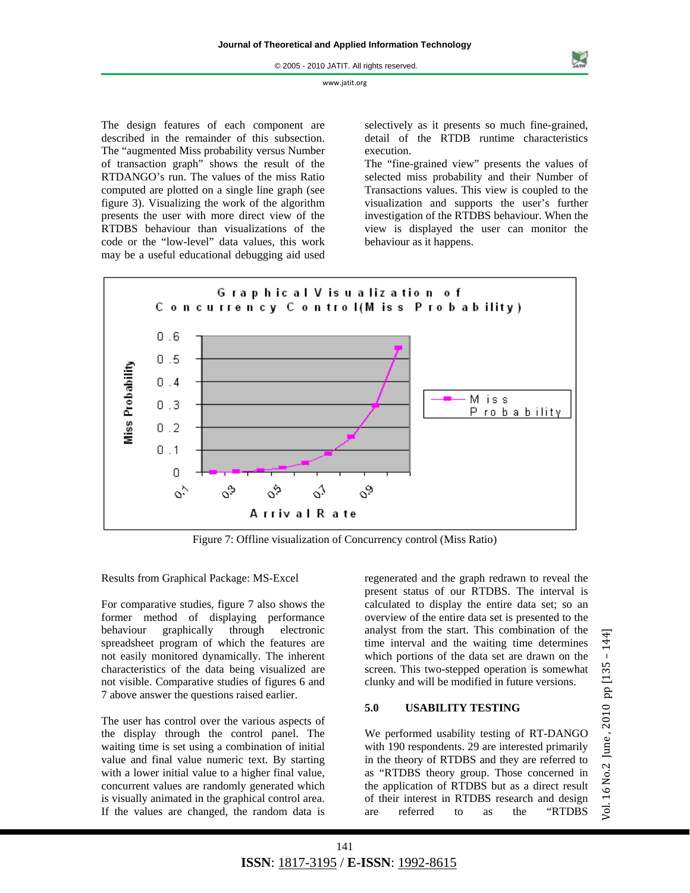The design features of each component are described in the remainder of this subsection. The "augmented Miss probability versus Number of transaction graph" shows the result of the RTDANGO's run. The values of the miss Ratio computed are plotted on a single line graph (see figure 3). Visualizing the work of the algorithm presents the user with more direct view of the RTDBS behaviour than visualizations of the code or the "low-level" data values, this work may be a useful educational debugging aid used

selectively as it presents so much fine-grained, detail of the RTDB runtime characteristics execution.

The "fine-grained view" presents the values of selected miss probability and their Number of Transactions values. This view is coupled to the visualization and supports the user's further investigation of the RTDBS behaviour. When the view is displayed the user can monitor the behaviour as it happens.



Figure 7: Offline visualization of Concurrency control (Miss Ratio)

Results from Graphical Package: MS-Excel

For comparative studies, figure 7 also shows the former method of displaying performance behaviour graphically through electronic spreadsheet program of which the features are not easily monitored dynamically. The inherent characteristics of the data being visualized are not visible. Comparative studies of figures 6 and 7 above answer the questions raised earlier.

The user has control over the various aspects of the display through the control panel. The waiting time is set using a combination of initial value and final value numeric text. By starting with a lower initial value to a higher final value, concurrent values are randomly generated which is visually animated in the graphical control area. If the values are changed, the random data is

regenerated and the graph redrawn to reveal the present status of our RTDBS. The interval is calculated to display the entire data set; so an overview of the entire data set is presented to the analyst from the start. This combination of the time interval and the waiting time determines which portions of the data set are drawn on the screen. This two-stepped operation is somewhat clunky and will be modified in future versions.

# **5.0 USABILITY TESTING**

We performed usability testing of RT-DANGO with 190 respondents. 29 are interested primarily in the theory of RTDBS and they are referred to as "RTDBS theory group. Those concerned in the application of RTDBS but as a direct result of their interest in RTDBS research and design are referred to as the "RTDBS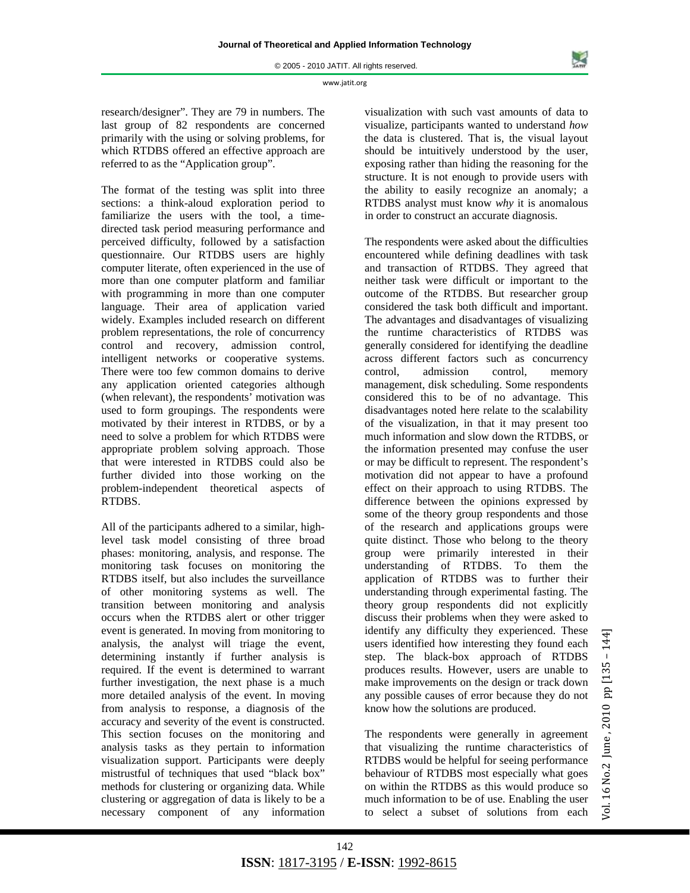research/designer". They are 79 in numbers. The last group of 82 respondents are concerned primarily with the using or solving problems, for which RTDBS offered an effective approach are referred to as the "Application group".

The format of the testing was split into three sections: a think-aloud exploration period to familiarize the users with the tool, a timedirected task period measuring performance and perceived difficulty, followed by a satisfaction questionnaire. Our RTDBS users are highly computer literate, often experienced in the use of more than one computer platform and familiar with programming in more than one computer language. Their area of application varied widely. Examples included research on different problem representations, the role of concurrency control and recovery, admission control, intelligent networks or cooperative systems. There were too few common domains to derive any application oriented categories although (when relevant), the respondents' motivation was used to form groupings. The respondents were motivated by their interest in RTDBS, or by a need to solve a problem for which RTDBS were appropriate problem solving approach. Those that were interested in RTDBS could also be further divided into those working on the problem-independent theoretical aspects of RTDBS.

All of the participants adhered to a similar, highlevel task model consisting of three broad phases: monitoring, analysis, and response. The monitoring task focuses on monitoring the RTDBS itself, but also includes the surveillance of other monitoring systems as well. The transition between monitoring and analysis occurs when the RTDBS alert or other trigger event is generated. In moving from monitoring to analysis, the analyst will triage the event, determining instantly if further analysis is required. If the event is determined to warrant further investigation, the next phase is a much more detailed analysis of the event. In moving from analysis to response, a diagnosis of the accuracy and severity of the event is constructed. This section focuses on the monitoring and analysis tasks as they pertain to information visualization support. Participants were deeply mistrustful of techniques that used "black box" methods for clustering or organizing data. While clustering or aggregation of data is likely to be a necessary component of any information

visualization with such vast amounts of data to visualize, participants wanted to understand *how*  the data is clustered. That is, the visual layout should be intuitively understood by the user, exposing rather than hiding the reasoning for the structure. It is not enough to provide users with the ability to easily recognize an anomaly; a RTDBS analyst must know *why* it is anomalous in order to construct an accurate diagnosis.

The respondents were asked about the difficulties encountered while defining deadlines with task and transaction of RTDBS. They agreed that neither task were difficult or important to the outcome of the RTDBS. But researcher group considered the task both difficult and important. The advantages and disadvantages of visualizing the runtime characteristics of RTDBS was generally considered for identifying the deadline across different factors such as concurrency control, admission control, memory management, disk scheduling. Some respondents considered this to be of no advantage. This disadvantages noted here relate to the scalability of the visualization, in that it may present too much information and slow down the RTDBS, or the information presented may confuse the user or may be difficult to represent. The respondent's motivation did not appear to have a profound effect on their approach to using RTDBS. The difference between the opinions expressed by some of the theory group respondents and those of the research and applications groups were quite distinct. Those who belong to the theory group were primarily interested in their understanding of RTDBS. To them the application of RTDBS was to further their understanding through experimental fasting. The theory group respondents did not explicitly discuss their problems when they were asked to identify any difficulty they experienced. These users identified how interesting they found each step. The black-box approach of RTDBS produces results. However, users are unable to make improvements on the design or track down any possible causes of error because they do not know how the solutions are produced.

The respondents were generally in agreement that visualizing the runtime characteristics of RTDBS would be helpful for seeing performance behaviour of RTDBS most especially what goes on within the RTDBS as this would produce so much information to be of use. Enabling the user to select a subset of solutions from each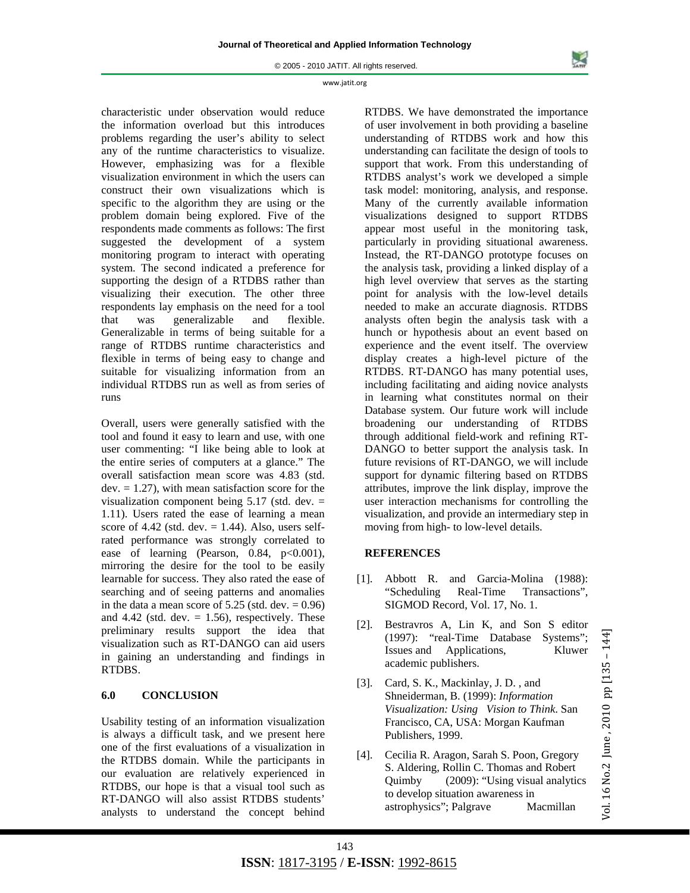© 2005 - 2010 JATIT. All rights reserved.

#### www.jatit.org

characteristic under observation would reduce the information overload but this introduces problems regarding the user's ability to select any of the runtime characteristics to visualize. However, emphasizing was for a flexible visualization environment in which the users can construct their own visualizations which is specific to the algorithm they are using or the problem domain being explored. Five of the respondents made comments as follows: The first suggested the development of a system monitoring program to interact with operating system. The second indicated a preference for supporting the design of a RTDBS rather than visualizing their execution. The other three respondents lay emphasis on the need for a tool that was generalizable and flexible. Generalizable in terms of being suitable for a range of RTDBS runtime characteristics and flexible in terms of being easy to change and suitable for visualizing information from an individual RTDBS run as well as from series of runs

Overall, users were generally satisfied with the tool and found it easy to learn and use, with one user commenting: "I like being able to look at the entire series of computers at a glance." The overall satisfaction mean score was 4.83 (std.  $dev. = 1.27$ , with mean satisfaction score for the visualization component being 5.17 (std. dev. = 1.11). Users rated the ease of learning a mean score of  $4.42$  (std. dev.  $= 1.44$ ). Also, users selfrated performance was strongly correlated to ease of learning (Pearson,  $0.84$ ,  $p<0.001$ ), mirroring the desire for the tool to be easily learnable for success. They also rated the ease of searching and of seeing patterns and anomalies in the data a mean score of  $5.25$  (std. dev.  $= 0.96$ ) and  $4.42$  (std. dev.  $= 1.56$ ), respectively. These preliminary results support the idea that visualization such as RT-DANGO can aid users in gaining an understanding and findings in RTDBS.

# **6.0 CONCLUSION**

Usability testing of an information visualization is always a difficult task, and we present here one of the first evaluations of a visualization in the RTDBS domain. While the participants in our evaluation are relatively experienced in RTDBS, our hope is that a visual tool such as RT-DANGO will also assist RTDBS students' analysts to understand the concept behind

RTDBS. We have demonstrated the importance of user involvement in both providing a baseline understanding of RTDBS work and how this understanding can facilitate the design of tools to support that work. From this understanding of RTDBS analyst's work we developed a simple task model: monitoring, analysis, and response. Many of the currently available information visualizations designed to support RTDBS appear most useful in the monitoring task, particularly in providing situational awareness. Instead, the RT-DANGO prototype focuses on the analysis task, providing a linked display of a high level overview that serves as the starting point for analysis with the low-level details needed to make an accurate diagnosis. RTDBS analysts often begin the analysis task with a hunch or hypothesis about an event based on experience and the event itself. The overview display creates a high-level picture of the RTDBS. RT-DANGO has many potential uses, including facilitating and aiding novice analysts in learning what constitutes normal on their Database system. Our future work will include broadening our understanding of RTDBS through additional field-work and refining RT-DANGO to better support the analysis task. In future revisions of RT-DANGO, we will include support for dynamic filtering based on RTDBS attributes, improve the link display, improve the user interaction mechanisms for controlling the visualization, and provide an intermediary step in moving from high- to low-level details.

# **REFERENCES**

- [1]. Abbott R. and Garcia-Molina (1988): "Scheduling Real-Time Transactions", SIGMOD Record, Vol. 17, No. 1.
- [2]. Bestravros A, Lin K, and Son S editor (1997): "real-Time Database Systems"; Issues and Applications, Kluwer academic publishers.
- [3]. Card, S. K., Mackinlay, J. D. , and Shneiderman, B. (1999): *Information Visualization: Using Vision to Think*. San Francisco, CA, USA: Morgan Kaufman Publishers, 1999.
- [4]. Cecilia R. Aragon*,* Sarah S. Poon, Gregory S. Aldering, Rollin C. Thomas and Robert Quimby (2009): "Using visual analytics to develop situation awareness in astrophysics"; Palgrave Macmillan